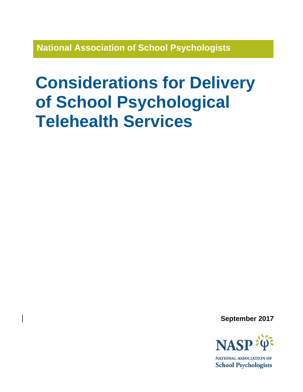**National Association of School Psychologists**

# **Considerations for Delivery of School Psychological Telehealth Services**

**September 2017**



NATIONAL ASSOCIATION OF **School Psychologists**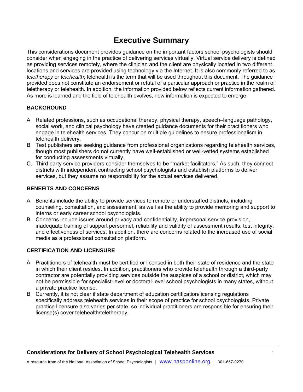# **Executive Summary**

This considerations document provides guidance on the important factors school psychologists should consider when engaging in the practice of delivering services virtually. Virtual service delivery is defined as providing services remotely, where the clinician and the client are physically located in two different locations and services are provided using technology via the Internet. It is also commonly referred to as *teletherapy* or *telehealth*; telehealth is the term that will be used throughout this document. The guidance provided does not constitute an endorsement or refutal of a particular approach or practice in the realm of teletherapy or telehealth. In addition, the information provided below reflects current information gathered. As more is learned and the field of telehealth evolves, new information is expected to emerge.

#### **BACKGROUND**

- A. Related professions, such as occupational therapy, physical therapy, speech–language pathology, social work, and clinical psychology have created guidance documents for their practitioners who engage in telehealth services. They concur on multiple guidelines to ensure professionalism in telehealth delivery.
- B. Test publishers are seeking guidance from professional organizations regarding telehealth services, though most publishers do not currently have well-established or well-vetted systems established for conducting assessments virtually.
- C. Third party service providers consider themselves to be "market facilitators." As such, they connect districts with independent contracting school psychologists and establish platforms to deliver services, but they assume no responsibility for the actual services delivered.

#### **BENEFITS AND CONCERNS**

- A. Benefits include the ability to provide services to remote or understaffed districts, including counseling, consultation, and assessment, as well as the ability to provide mentoring and support to interns or early career school psychologists.
- B. Concerns include issues around privacy and confidentiality, impersonal service provision, inadequate training of support personnel, reliability and validity of assessment results, test integrity, and effectiveness of services. In addition, there are concerns related to the increased use of social media as a professional consultation platform.

## **CERTIFICATION AND LICENSURE**

- A. Practitioners of telehealth must be certified or licensed in both their state of residence and the state in which their client resides. In addition, practitioners who provide telehealth through a third-party contractor are potentially providing services outside the auspices of a school or district, which may not be permissible for specialist-level or doctoral-level school psychologists in many states, without a private practice license.
- B. Currently, it is not clear if state department of education certification/licensing regulations specifically address telehealth services in their scope of practice for school psychologists. Private practice licensure also varies per state, so individual practitioners are responsible for ensuring their license(s) cover telehealth/teletherapy.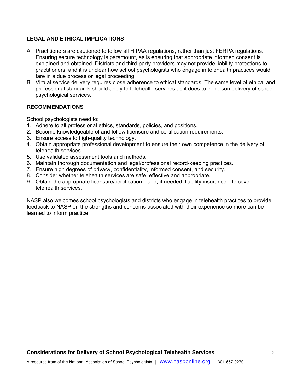#### **LEGAL AND ETHICAL IMPLICATIONS**

- A. Practitioners are cautioned to follow all HIPAA regulations, rather than just FERPA regulations. Ensuring secure technology is paramount, as is ensuring that appropriate informed consent is explained and obtained. Districts and third-party providers may not provide liability protections to practitioners, and it is unclear how school psychologists who engage in telehealth practices would fare in a due process or legal proceeding.
- B. Virtual service delivery requires close adherence to ethical standards. The same level of ethical and professional standards should apply to telehealth services as it does to in-person delivery of school psychological services.

#### **RECOMMENDATIONS**

School psychologists need to:

- 1. Adhere to all professional ethics, standards, policies, and positions.
- 2. Become knowledgeable of and follow licensure and certification requirements.
- 3. Ensure access to high-quality technology.
- 4. Obtain appropriate professional development to ensure their own competence in the delivery of telehealth services.
- 5. Use validated assessment tools and methods.
- 6. Maintain thorough documentation and legal/professional record-keeping practices.
- 7. Ensure high degrees of privacy, confidentiality, informed consent, and security.
- 8. Consider whether telehealth services are safe, effective and appropriate.
- 9. Obtain the appropriate licensure/certification—and, if needed, liability insurance—to cover telehealth services.

NASP also welcomes school psychologists and districts who engage in telehealth practices to provide feedback to NASP on the strengths and concerns associated with their experience so more can be learned to inform practice.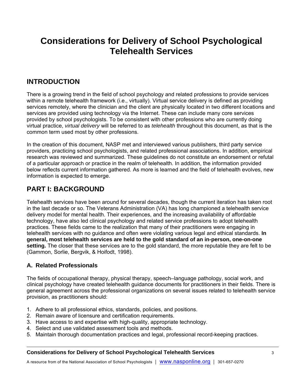# **Considerations for Delivery of School Psychological Telehealth Services**

## **INTRODUCTION**

There is a growing trend in the field of school psychology and related professions to provide services within a remote telehealth framework (i.e., virtually). Virtual service delivery is defined as providing services remotely, where the clinician and the client are physically located in two different locations and services are provided using technology via the Internet. These can include many core services provided by school psychologists. To be consistent with other professions who are currently doing virtual practice, *virtual delivery* will be referred to as *telehealth* throughout this document, as that is the common term used most by other professions.

In the creation of this document, NASP met and interviewed various publishers, third party service providers, practicing school psychologists, and related professional associations. In addition, empirical research was reviewed and summarized. These guidelines do not constitute an endorsement or refutal of a particular approach or practice in the realm of telehealth. In addition, the information provided below reflects current information gathered. As more is learned and the field of telehealth evolves, new information is expected to emerge.

## **PART I: BACKGROUND**

Telehealth services have been around for several decades, though the current iteration has taken root in the last decade or so. The Veterans Administration (VA) has long championed a telehealth service delivery model for mental health. Their experiences, and the increasing availability of affordable technology, have also led clinical psychology and related service professions to adopt telehealth practices. These fields came to the realization that many of their practitioners were engaging in telehealth services with no guidance and often were violating various legal and ethical standards. **In general, most telehealth services are held to the gold standard of an in-person, one-on-one setting.** The closer that these services are to the gold standard, the more reputable they are felt to be (Gammon, Sorlie, Bergvik, & Hoifodt, 1998).

## **A. Related Professionals**

The fields of occupational therapy, physical therapy, speech–language pathology, social work, and clinical psychology have created telehealth guidance documents for practitioners in their fields. There is general agreement across the professional organizations on several issues related to telehealth service provision, as practitioners should:

- 1. Adhere to all professional ethics, standards, policies, and positions.
- 2. Remain aware of licensure and certification requirements.
- 3. Have access to and expertise with high-quality, appropriate technology.
- 4. Select and use validated assessment tools and methods.
- 5. Maintain thorough documentation practices and legal, professional record-keeping practices.

#### **Considerations for Delivery of School Psychological Telehealth Services** 3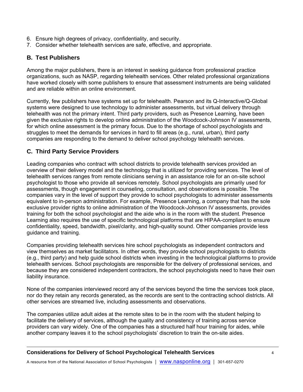- 6. Ensure high degrees of privacy, confidentiality, and security.
- 7. Consider whether telehealth services are safe, effective, and appropriate.

## **B. Test Publishers**

Among the major publishers, there is an interest in seeking guidance from professional practice organizations, such as NASP, regarding telehealth services. Other related professional organizations have worked closely with some publishers to ensure that assessment instruments are being validated and are reliable within an online environment.

Currently, few publishers have systems set up for telehealth. Pearson and its Q-Interactive/Q-Global systems were designed to use technology to administer assessments, but virtual delivery through telehealth was not the primary intent. Third party providers, such as Presence Learning, have been given the exclusive rights to develop online administration of the Woodcock-Johnson IV assessments, for which online assessment is the primary focus. Due to the shortage of school psychologists and struggles to meet the demands for services in hard to fill areas (e.g., rural, urban), third party companies are responding to the demand to deliver school psychology telehealth services.

## **C. Third Party Service Providers**

Leading companies who contract with school districts to provide telehealth services provided an overview of their delivery model and the technology that is utilized for providing services. The level of telehealth services ranges from remote clinicians serving in an assistance role for an on-site school psychologist to those who provide all services remotely. School psychologists are primarily used for assessments, though engagement in counseling, consultation, and observations is possible. The companies vary in the level of support they provide to school psychologists to administer assessments equivalent to in-person administration. For example, Presence Learning, a company that has the sole exclusive provider rights to online administration of the Woodcock-Johnson IV assessments, provides training for both the school psychologist and the aide who is in the room with the student. Presence Learning also requires the use of specific technological platforms that are HIPAA-compliant to ensure confidentiality, speed, bandwidth, pixel/clarity, and high-quality sound. Other companies provide less guidance and training.

Companies providing telehealth services hire school psychologists as independent contractors and view themselves as market facilitators. In other words, they provide school psychologists to districts (e.g., third party) and help guide school districts when investing in the technological platforms to provide telehealth services. School psychologists are responsible for the delivery of professional services, and because they are considered independent contractors, the school psychologists need to have their own liability insurance.

None of the companies interviewed record any of the services beyond the time the services took place, nor do they retain any records generated, as the records are sent to the contracting school districts. All other services are streamed live, including assessments and observations.

The companies utilize adult aides at the remote sites to be in the room with the student helping to facilitate the delivery of services, although the quality and consistency of training across service providers can vary widely. One of the companies has a structured half hour training for aides, while another company leaves it to the school psychologists' discretion to train the on-site aides.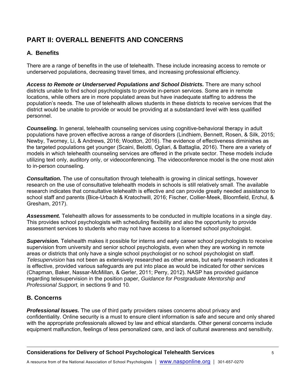# **PART II: OVERALL BENEFITS AND CONCERNS**

## **A. Benefits**

There are a range of benefits in the use of telehealth. These include increasing access to remote or underserved populations, decreasing travel times, and increasing professional efficiency.

*Access to Remote or Underserved Populations and School Districts.* There are many school districts unable to find school psychologists to provide in-person services. Some are in remote locations, while others are in more populated areas but have inadequate staffing to address the population's needs. The use of telehealth allows students in these districts to receive services that the district would be unable to provide or would be providing at a substandard level with less qualified personnel.

*Counseling.* In general, telehealth counseling services using cognitive-behavioral therapy in adult populations have proven effective across a range of disorders (Lindhiem, Bennett, Rosen, & Silk, 2015; Newby, Tworney, Li, & Andrews, 2016; Wootton, 2016). The evidence of effectiveness diminishes as the targeted populations get younger (Scaini, Belotti, Ogliari, & Battaglia, 2016). There are a variety of models in which telehealth counseling services are offered in the private sector. These models include utilizing text only, auditory only, or videoconferencing. The videoconference model is the one most akin to in-person counseling.

**Consultation.** The use of consultation through telehealth is growing in clinical settings, however research on the use of consultative telehealth models in schools is still relatively small. The available research indicates that consultative telehealth is effective and can provide greatly needed assistance to school staff and parents (Bice-Urbach & Kratochwill, 2016; Fischer, Collier-Meek, Bloomfield, Erchul, & Gresham, 2017).

*Assessment.* Telehealth allows for assessments to be conducted in multiple locations in a single day. This provides school psychologists with scheduling flexibility and also the opportunity to provide assessment services to students who may not have access to a licensed school psychologist.

*Supervision.* Telehealth makes it possible for interns and early career school psychologists to receive supervision from university and senior school psychologists, even when they are working in remote areas or districts that only have a single school psychologist or no school psychologist on staff. *Telesupervision* has not been as extensively researched as other areas, but early research indicates it is effective, provided various safeguards are put into place as would be indicated for other services (Chapman, Baker, Nassar-McMillan, & Gerler, 2011; Perry, 2012). NASP has provided guidance regarding telesupervision in the position paper, *Guidance for Postgraduate Mentorship and Professional Support,* in sections 9 and 10*.* 

## **B. Concerns**

*Professional Issues.* The use of third party providers raises concerns about privacy and confidentiality. Online security is a must to ensure client information is safe and secure and only shared with the appropriate professionals allowed by law and ethical standards. Other general concerns include equipment malfunction, feelings of less personalized care, and lack of cultural awareness and sensitivity.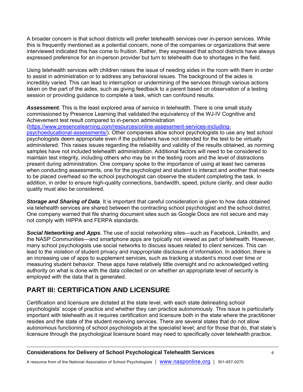A broader concern is that school districts will prefer telehealth services over in-person services. While this is frequently mentioned as a potential concern, none of the companies or organizations that were interviewed indicated this has come to fruition. Rather, they expressed that school districts have always expressed preference for an in-person provider but turn to telehealth due to shortages in the field.

Using telehealth services with children raises the issue of needing aides in the room with them in order to assist in administration or to address any behavioral issues. The background of the aides is incredibly varied. This can lead to interruption or undermining of the services through various actions taken on the part of the aides, such as giving feedback to a parent based on observation of a testing session or providing guidance to complete a task, which can confound results.

*Assessment.* This is the least explored area of service in telehealth. There is one small study commissioned by Presence Learning that validated the equivalency of the WJ-IV Cognitive and Achievement test result compared to in-person administration

(https://www.presencelearning.com/resources/online-assessment-services-including-

psychoeducational-assessments/). Other companies allow school psychologists to use any test school psychologists deem appropriate even if the publishers have not intended for the test to be virtually administered. This raises issues regarding the reliability and validity of the results obtained, as norming samples have not included telehealth administration. Additional factors will need to be considered to maintain test integrity, including others who may be in the testing room and the level of distractions present during administration. One company spoke to the importance of using at least two cameras when conducting assessments, one for the psychologist and student to interact and another that needs to be placed overhead so the school psychologist can observe the student completing the task. In addition, in order to ensure high-quality connections, bandwidth, speed, picture clarity, and clear audio quality must also be considered.

*Storage and Sharing of Data*. It is important that careful consideration is given to how data obtained via telehealth services are shared between the contracting school psychologist and the school district. One company warned that file sharing document sites such as Google Docs are not secure and may not comply with HIPPA and FERPA standards.

*Social Networking and Apps.* The use of social networking sites—such as Facebook, LinkedIn, and the NASP Communities—and smartphone apps are typically not viewed as part of telehealth. However, many school psychologists use social networks to discuss issues related to client services. This can lead to the violation of student privacy and inappropriate disclosure of information. In addition, there is an increasing use of apps to supplement services, such as tracking a student's mood over time or measuring student behavior. These apps have relatively little oversight and no acknowledged vetting authority on what is done with the data collected or on whether an appropriate level of security is employed with the data that is generated.

# **PART III: CERTIFICATION AND LICENSURE**

Certification and licensure are dictated at the state level, with each state delineating school psychologists' scope of practice and whether they can practice autonomously. This issue is particularly important with telehealth as it requires certification and licensure both in the state where the practitioner resides *and* the state of the student receiving services. There are several states that do not allow autonomous functioning of school psychologists at the specialist level; and for those that do, that state's licensure through the psychological licensure board may need to specifically cover telehealth practice.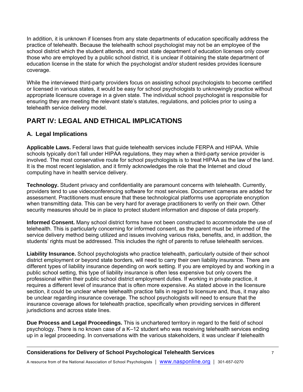In addition, it is unknown if licenses from any state departments of education specifically address the practice of telehealth. Because the telehealth school psychologist may not be an employee of the school district which the student attends, and most state department of education licenses only cover those who are employed by a public school district, it is unclear if obtaining the state department of education license in the state for which the psychologist and/or student resides provides licensure coverage.

While the interviewed third-party providers focus on assisting school psychologists to become certified or licensed in various states, it would be easy for school psychologists to unknowingly practice without appropriate licensure coverage in a given state. The individual school psychologist is responsible for ensuring they are meeting the relevant state's statutes, regulations, and policies prior to using a telehealth service delivery model.

# **PART IV: LEGAL AND ETHICAL IMPLICATIONS**

## **A. Legal Implications**

**Applicable Laws.** Federal laws that guide telehealth services include FERPA and HIPAA. While schools typically don't fall under HIPAA regulations, they may when a third-party service provider is involved. The most conservative route for school psychologists is to treat HIPAA as the law of the land. It is the most recent legislation, and it firmly acknowledges the role that the Internet and cloud computing have in health service delivery.

**Technology.** Student privacy and confidentiality are paramount concerns with telehealth. Currently, providers tend to use videoconferencing software for most services. Document cameras are added for assessment. Practitioners must ensure that these technological platforms use appropriate encryption when transmitting data. This can be very hard for average practitioners to verify on their own. Other security measures should be in place to protect student information and dispose of data properly.

**Informed Consent.** Many school district forms have not been constructed to accommodate the use of telehealth. This is particularly concerning for informed consent, as the parent must be informed of the service delivery method being utilized and issues involving various risks, benefits, and, in addition, the students' rights must be addressed. This includes the right of parents to refuse telehealth services.

**Liability Insurance.** School psychologists who practice telehealth, particularly outside of their school district employment or beyond state borders, will need to carry their own liability insurance. There are different types of liability insurance depending on work setting. If you are employed by and working in a public school setting, this type of liability insurance is often less expensive but only covers the professional within their public school district employment duties. If working in private practice, it requires a different level of insurance that is often more expensive. As stated above in the licensure section, it could be unclear where telehealth practice falls in regard to licensure and, thus, it may also be unclear regarding insurance coverage. The school psychologists will need to ensure that the insurance coverage allows for telehealth practice, specifically when providing services in different jurisdictions and across state lines.

**Due Process and Legal Proceedings.** This is unchartered territory in regard to the field of school psychology. There is no known case of a K–12 student who was receiving telehealth services ending up in a legal proceeding. In conversations with the various stakeholders, it was unclear if telehealth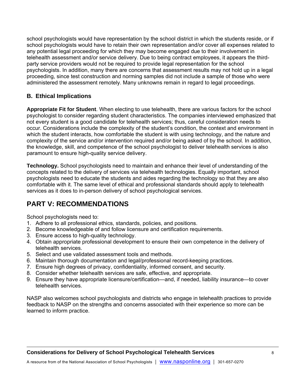school psychologists would have representation by the school district in which the students reside, or if school psychologists would have to retain their own representation and/or cover all expenses related to any potential legal proceeding for which they may become engaged due to their involvement in telehealth assessment and/or service delivery. Due to being contract employees, it appears the thirdparty service providers would not be required to provide legal representation for the school psychologists. In addition, many there are concerns that assessment results may not hold up in a legal proceeding, since test construction and norming samples did not include a sample of those who were administered the assessment remotely. Many unknowns remain in regard to legal proceedings.

## **B. Ethical Implications**

**Appropriate Fit for Student**. When electing to use telehealth, there are various factors for the school psychologist to consider regarding student characteristics. The companies interviewed emphasized that not every student is a good candidate for telehealth services; thus, careful consideration needs to occur. Considerations include the complexity of the student's condition, the context and environment in which the student interacts, how comfortable the student is with using technology, and the nature and complexity of the service and/or intervention required and/or being asked of by the school. In addition, the knowledge, skill, and competence of the school psychologist to deliver telehealth services is also paramount to ensure high-quality service delivery.

**Technology.** School psychologists need to maintain and enhance their level of understanding of the concepts related to the delivery of services via telehealth technologies. Equally important, school psychologists need to educate the students and aides regarding the technology so that they are also comfortable with it. The same level of ethical and professional standards should apply to telehealth services as it does to in-person delivery of school psychological services.

## **PART V: RECOMMENDATIONS**

School psychologists need to:

- 1. Adhere to all professional ethics, standards, policies, and positions.
- 2. Become knowledgeable of and follow licensure and certification requirements.
- 3. Ensure access to high-quality technology.
- 4. Obtain appropriate professional development to ensure their own competence in the delivery of telehealth services.
- 5. Select and use validated assessment tools and methods.
- 6. Maintain thorough documentation and legal/professional record-keeping practices.
- 7. Ensure high degrees of privacy, confidentiality, informed consent, and security.
- 8. Consider whether telehealth services are safe, effective, and appropriate.
- 9. Ensure they have appropriate licensure/certification—and, if needed, liability insurance—to cover telehealth services.

NASP also welcomes school psychologists and districts who engage in telehealth practices to provide feedback to NASP on the strengths and concerns associated with their experience so more can be learned to inform practice.

## **Considerations for Delivery of School Psychological Telehealth Services** 8